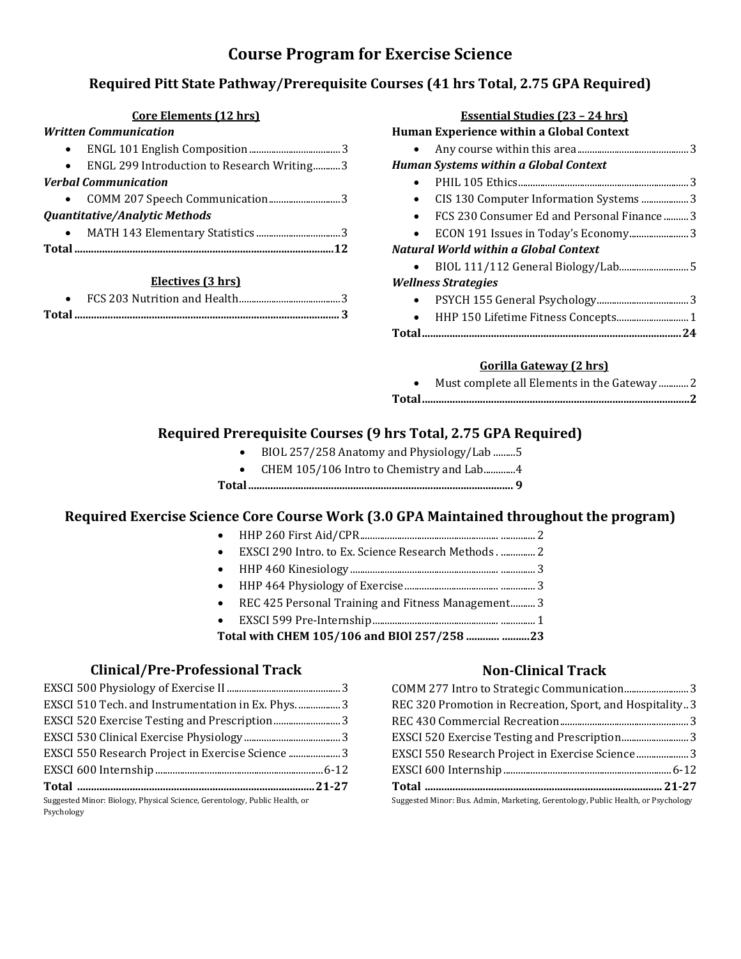# **Course Program for Exercise Science**

## **Required Pitt State Pathway/Prerequisite Courses (41 hrs Total, 2.75 GPA Required)**

| <b>Core Elements (12 hrs)</b>              | <b>Essential Studies (23 - 24 hrs)</b>       |
|--------------------------------------------|----------------------------------------------|
| <b>Written Communication</b>               | Human Experience within a Global Context     |
|                                            | $\bullet$                                    |
| ENGL 299 Introduction to Research Writing3 | <b>Human Systems within a Global Context</b> |
| <b>Verbal Communication</b>                | $\bullet$                                    |
|                                            | CIS 130 Computer Information Systems 3       |
| <b>Quantitative/Analytic Methods</b>       | FCS 230 Consumer Ed and Personal Finance3    |
| $\bullet$                                  |                                              |
|                                            | <b>Natural World within a Global Context</b> |
|                                            | $\bullet$                                    |
| Electives (3 hrs)                          | <b>Wellness Strategies</b>                   |
|                                            | $\bullet$                                    |
| Total                                      | $\bullet$                                    |
|                                            |                                              |

#### **Gorilla Gateway (2 hrs)**

| Must complete all Elements in the Gateway 2 |
|---------------------------------------------|
|                                             |

## **Required Prerequisite Courses (9 hrs Total, 2.75 GPA Required)**

- BIOL 257/258 Anatomy and Physiology/Lab .........5
- CHEM 105/106 Intro to Chemistry and Lab.............4
- **Total................................................................................................ 9**

### **Required Exercise Science Core Course Work (3.0 GPA Maintained throughout the program)**

- HHP 260 First Aid/CPR........................................................ .............. 2
- EXSCI 290 Intro. to Ex. Science Research Methods . .............. 2
- HHP 460 Kinesiology ............................................................ .............. 3
- HHP 464 Physiology of Exercise...................................... .............. 3
- REC 425 Personal Training and Fitness Management.......... 3
- EXSCI 599 Pre-Internship................................................... .............. 1

 **Total with CHEM 105/106 and BIOl 257/258 ............ ..........23**

### **Clinical/Pre-Professional Track**

| EXSCI 510 Tech. and Instrumentation in Ex. Phys3                                         |  |
|------------------------------------------------------------------------------------------|--|
|                                                                                          |  |
|                                                                                          |  |
|                                                                                          |  |
|                                                                                          |  |
|                                                                                          |  |
| Suggested Minor: Biology, Physical Science, Gerentology, Public Health, or<br>Psychology |  |

### **Non-Clinical Track**

| REC 320 Promotion in Recreation, Sport, and Hospitality3                          |  |
|-----------------------------------------------------------------------------------|--|
|                                                                                   |  |
|                                                                                   |  |
|                                                                                   |  |
|                                                                                   |  |
|                                                                                   |  |
| Suggested Minor: Bus. Admin, Marketing, Gerentology, Public Health, or Psychology |  |